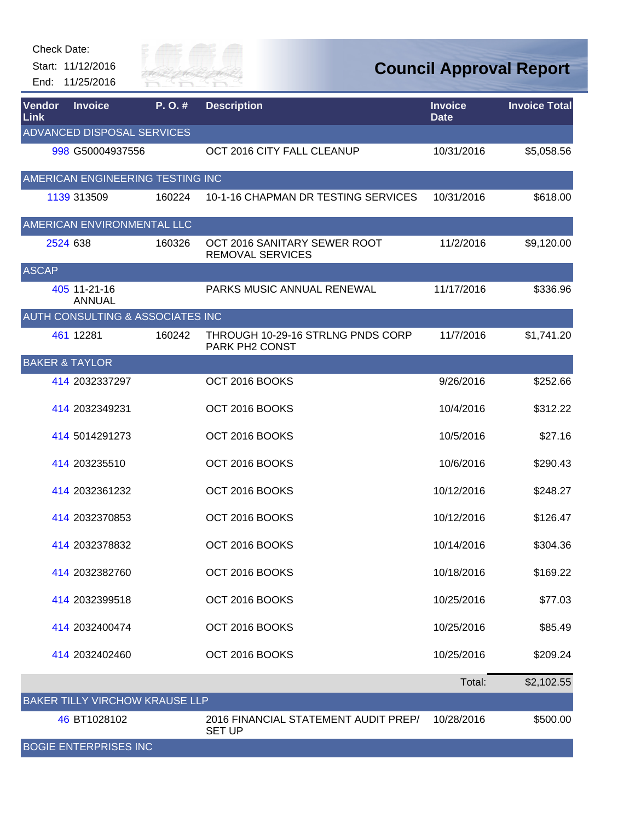| Check Date: |  |
|-------------|--|
|-------------|--|

Start: 11/12/2016 End: 11/25/2016



| <b>Vendor</b><br>Link     | <b>Invoice</b>                        | P.O.#  | <b>Description</b>                                      | <b>Invoice</b><br><b>Date</b> | <b>Invoice Total</b> |
|---------------------------|---------------------------------------|--------|---------------------------------------------------------|-------------------------------|----------------------|
|                           | <b>ADVANCED DISPOSAL SERVICES</b>     |        |                                                         |                               |                      |
|                           | 998 G50004937556                      |        | OCT 2016 CITY FALL CLEANUP                              | 10/31/2016                    | \$5,058.56           |
|                           | AMERICAN ENGINEERING TESTING INC      |        |                                                         |                               |                      |
|                           | 1139 313509                           | 160224 | 10-1-16 CHAPMAN DR TESTING SERVICES                     | 10/31/2016                    | \$618.00             |
|                           | AMERICAN ENVIRONMENTAL LLC            |        |                                                         |                               |                      |
|                           | 2524 638                              | 160326 | OCT 2016 SANITARY SEWER ROOT<br><b>REMOVAL SERVICES</b> | 11/2/2016                     | \$9,120.00           |
| <b>ASCAP</b>              |                                       |        |                                                         |                               |                      |
|                           | 405 11-21-16<br><b>ANNUAL</b>         |        | PARKS MUSIC ANNUAL RENEWAL                              | 11/17/2016                    | \$336.96             |
|                           | AUTH CONSULTING & ASSOCIATES INC      |        |                                                         |                               |                      |
|                           | 461 12281                             | 160242 | THROUGH 10-29-16 STRLNG PNDS CORP<br>PARK PH2 CONST     | 11/7/2016                     | \$1,741.20           |
| <b>BAKER &amp; TAYLOR</b> |                                       |        |                                                         |                               |                      |
|                           | 414 2032337297                        |        | OCT 2016 BOOKS                                          | 9/26/2016                     | \$252.66             |
|                           | 414 2032349231                        |        | OCT 2016 BOOKS                                          | 10/4/2016                     | \$312.22             |
|                           | 414 5014291273                        |        | OCT 2016 BOOKS                                          | 10/5/2016                     | \$27.16              |
|                           | 414 203235510                         |        | OCT 2016 BOOKS                                          | 10/6/2016                     | \$290.43             |
|                           | 414 2032361232                        |        | OCT 2016 BOOKS                                          | 10/12/2016                    | \$248.27             |
|                           | 414 2032370853                        |        | OCT 2016 BOOKS                                          | 10/12/2016                    | \$126.47             |
|                           | 414 2032378832                        |        | OCT 2016 BOOKS                                          | 10/14/2016                    | \$304.36             |
|                           | 414 2032382760                        |        | OCT 2016 BOOKS                                          | 10/18/2016                    | \$169.22             |
|                           | 414 2032399518                        |        | OCT 2016 BOOKS                                          | 10/25/2016                    | \$77.03              |
|                           | 414 2032400474                        |        | OCT 2016 BOOKS                                          | 10/25/2016                    | \$85.49              |
|                           | 414 2032402460                        |        | OCT 2016 BOOKS                                          | 10/25/2016                    | \$209.24             |
|                           |                                       |        |                                                         | Total:                        | \$2,102.55           |
|                           | <b>BAKER TILLY VIRCHOW KRAUSE LLP</b> |        |                                                         |                               |                      |
|                           | 46 BT1028102                          |        | 2016 FINANCIAL STATEMENT AUDIT PREP/<br><b>SET UP</b>   | 10/28/2016                    | \$500.00             |
|                           | <b>BOGIE ENTERPRISES INC</b>          |        |                                                         |                               |                      |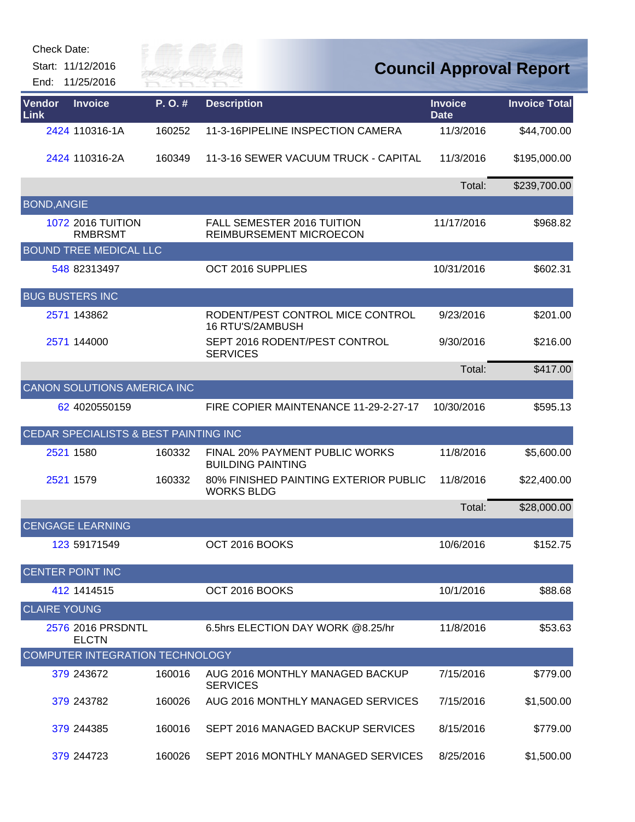| <b>Check Date:</b><br>Start: 11/12/2016<br>End: | 11/25/2016                                 | ay of<br><b>RIVER FAI</b> |                                                            |                               | <b>Council Approval Report</b> |
|-------------------------------------------------|--------------------------------------------|---------------------------|------------------------------------------------------------|-------------------------------|--------------------------------|
| <b>Vendor</b><br>Link                           | <b>Invoice</b>                             | P.O.#                     | <b>Description</b>                                         | <b>Invoice</b><br><b>Date</b> | <b>Invoice Total</b>           |
|                                                 | 2424 110316-1A                             | 160252                    | 11-3-16PIPELINE INSPECTION CAMERA                          | 11/3/2016                     | \$44,700.00                    |
|                                                 | 2424 110316-2A                             | 160349                    | 11-3-16 SEWER VACUUM TRUCK - CAPITAL                       | 11/3/2016                     | \$195,000.00                   |
|                                                 |                                            |                           |                                                            | Total:                        | \$239,700.00                   |
| <b>BOND, ANGIE</b>                              |                                            |                           |                                                            |                               |                                |
|                                                 | <b>1072 2016 TUITION</b><br><b>RMBRSMT</b> |                           | FALL SEMESTER 2016 TUITION<br>REIMBURSEMENT MICROECON      | 11/17/2016                    | \$968.82                       |
|                                                 | <b>BOUND TREE MEDICAL LLC</b>              |                           |                                                            |                               |                                |
|                                                 | 548 82313497                               |                           | OCT 2016 SUPPLIES                                          | 10/31/2016                    | \$602.31                       |
| <b>BUG BUSTERS INC</b>                          |                                            |                           |                                                            |                               |                                |
|                                                 | 2571 143862                                |                           | RODENT/PEST CONTROL MICE CONTROL<br>16 RTU'S/2AMBUSH       | 9/23/2016                     | \$201.00                       |
|                                                 | 2571 144000                                |                           | SEPT 2016 RODENT/PEST CONTROL<br><b>SERVICES</b>           | 9/30/2016                     | \$216.00                       |
|                                                 |                                            |                           |                                                            | Total:                        | \$417.00                       |
|                                                 | <b>CANON SOLUTIONS AMERICA INC</b>         |                           |                                                            |                               |                                |
|                                                 | 62 4020550159                              |                           | FIRE COPIER MAINTENANCE 11-29-2-27-17                      | 10/30/2016                    | \$595.13                       |
|                                                 | CEDAR SPECIALISTS & BEST PAINTING INC      |                           |                                                            |                               |                                |
| 2521 1580                                       |                                            | 160332                    | FINAL 20% PAYMENT PUBLIC WORKS<br><b>BUILDING PAINTING</b> | 11/8/2016                     | \$5,600.00                     |
| 2521 1579                                       |                                            | 160332                    | 80% FINISHED PAINTING EXTERIOR PUBLIC<br><b>WORKS BLDG</b> | 11/8/2016                     | \$22,400.00                    |
|                                                 |                                            |                           |                                                            | I otal:                       | \$28,000.00                    |
|                                                 | <b>CENGAGE LEARNING</b>                    |                           |                                                            |                               |                                |
|                                                 | 123 59171549                               |                           | OCT 2016 BOOKS                                             | 10/6/2016                     | \$152.75                       |
| <b>CENTER POINT INC</b>                         |                                            |                           |                                                            |                               |                                |
|                                                 | 412 1414515                                |                           | OCT 2016 BOOKS                                             | 10/1/2016                     | \$88.68                        |
| <b>CLAIRE YOUNG</b>                             |                                            |                           |                                                            |                               |                                |
|                                                 | 2576 2016 PRSDNTL<br><b>ELCTN</b>          |                           | 6.5hrs ELECTION DAY WORK @8.25/hr                          | 11/8/2016                     | \$53.63                        |
|                                                 | COMPUTER INTEGRATION TECHNOLOGY            |                           |                                                            |                               |                                |
|                                                 | 379 243672                                 | 160016                    | AUG 2016 MONTHLY MANAGED BACKUP<br><b>SERVICES</b>         | 7/15/2016                     | \$779.00                       |
|                                                 | 379 243782                                 | 160026                    | AUG 2016 MONTHLY MANAGED SERVICES                          | 7/15/2016                     | \$1,500.00                     |
|                                                 | 379 244385                                 | 160016                    | SEPT 2016 MANAGED BACKUP SERVICES                          | 8/15/2016                     | \$779.00                       |
|                                                 | 379 244723                                 | 160026                    | SEPT 2016 MONTHLY MANAGED SERVICES                         | 8/25/2016                     | \$1,500.00                     |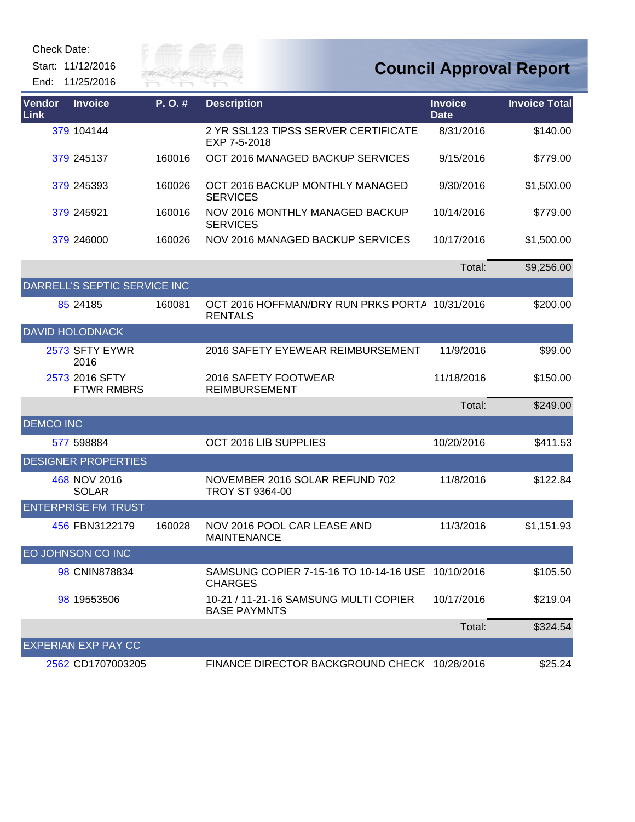Start: 11/12/2016 End: 11/25/2016



| Vendor<br>Link   | <b>Invoice</b>                      | P. O. # | <b>Description</b>                                                  | <b>Invoice</b><br><b>Date</b> | <b>Invoice Total</b> |
|------------------|-------------------------------------|---------|---------------------------------------------------------------------|-------------------------------|----------------------|
|                  | 379 104144                          |         | 2 YR SSL123 TIPSS SERVER CERTIFICATE<br>EXP 7-5-2018                | 8/31/2016                     | \$140.00             |
|                  | 379 245137                          | 160016  | OCT 2016 MANAGED BACKUP SERVICES                                    | 9/15/2016                     | \$779.00             |
|                  | 379 245393                          | 160026  | OCT 2016 BACKUP MONTHLY MANAGED<br><b>SERVICES</b>                  | 9/30/2016                     | \$1,500.00           |
|                  | 379 245921                          | 160016  | NOV 2016 MONTHLY MANAGED BACKUP<br><b>SERVICES</b>                  | 10/14/2016                    | \$779.00             |
|                  | 379 246000                          | 160026  | NOV 2016 MANAGED BACKUP SERVICES                                    | 10/17/2016                    | \$1,500.00           |
|                  |                                     |         |                                                                     | Total:                        | \$9,256.00           |
|                  | DARRELL'S SEPTIC SERVICE INC        |         |                                                                     |                               |                      |
|                  | 85 24185                            | 160081  | OCT 2016 HOFFMAN/DRY RUN PRKS PORTA 10/31/2016<br><b>RENTALS</b>    |                               | \$200.00             |
|                  | <b>DAVID HOLODNACK</b>              |         |                                                                     |                               |                      |
|                  | 2573 SFTY EYWR<br>2016              |         | 2016 SAFETY EYEWEAR REIMBURSEMENT                                   | 11/9/2016                     | \$99.00              |
|                  | 2573 2016 SFTY<br><b>FTWR RMBRS</b> |         | 2016 SAFETY FOOTWEAR<br><b>REIMBURSEMENT</b>                        | 11/18/2016                    | \$150.00             |
|                  |                                     |         |                                                                     | Total:                        | \$249.00             |
| <b>DEMCO INC</b> |                                     |         |                                                                     |                               |                      |
|                  | 577 598884                          |         | OCT 2016 LIB SUPPLIES                                               | 10/20/2016                    | \$411.53             |
|                  | <b>DESIGNER PROPERTIES</b>          |         |                                                                     |                               |                      |
|                  | 468 NOV 2016<br><b>SOLAR</b>        |         | NOVEMBER 2016 SOLAR REFUND 702<br>TROY ST 9364-00                   | 11/8/2016                     | \$122.84             |
|                  | <b>ENTERPRISE FM TRUST</b>          |         |                                                                     |                               |                      |
|                  | 456 FBN3122179                      | 160028  | NOV 2016 POOL CAR LEASE AND<br><b>MAINTENANCE</b>                   | 11/3/2016                     | \$1,151.93           |
|                  | EO JOHNSON CO INC                   |         |                                                                     |                               |                      |
|                  | 98 CNIN878834                       |         | SAMSUNG COPIER 7-15-16 TO 10-14-16 USE 10/10/2016<br><b>CHARGES</b> |                               | \$105.50             |
|                  | 98 19553506                         |         | 10-21 / 11-21-16 SAMSUNG MULTI COPIER<br><b>BASE PAYMNTS</b>        | 10/17/2016                    | \$219.04             |
|                  |                                     |         |                                                                     | Total:                        | \$324.54             |
|                  | <b>EXPERIAN EXP PAY CC</b>          |         |                                                                     |                               |                      |
|                  | 2562 CD1707003205                   |         | FINANCE DIRECTOR BACKGROUND CHECK 10/28/2016                        |                               | \$25.24              |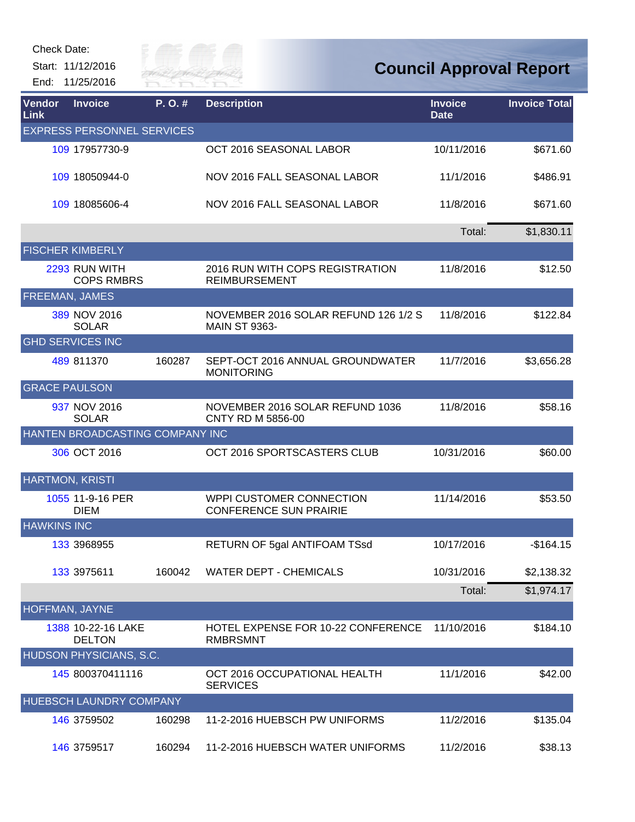Start: 11/12/2016 End: 11/25/2016



| Vendor<br><b>Link</b>  | <b>Invoice</b>                      | P.O.#  | <b>Description</b>                                           | <b>Invoice</b><br><b>Date</b> | <b>Invoice Total</b> |
|------------------------|-------------------------------------|--------|--------------------------------------------------------------|-------------------------------|----------------------|
|                        | <b>EXPRESS PERSONNEL SERVICES</b>   |        |                                                              |                               |                      |
|                        | 109 17957730-9                      |        | OCT 2016 SEASONAL LABOR                                      | 10/11/2016                    | \$671.60             |
|                        | 109 18050944-0                      |        | NOV 2016 FALL SEASONAL LABOR                                 | 11/1/2016                     | \$486.91             |
|                        | 109 18085606-4                      |        | NOV 2016 FALL SEASONAL LABOR                                 | 11/8/2016                     | \$671.60             |
|                        |                                     |        |                                                              | Total:                        | \$1,830.11           |
|                        | <b>FISCHER KIMBERLY</b>             |        |                                                              |                               |                      |
|                        | 2293 RUN WITH<br><b>COPS RMBRS</b>  |        | 2016 RUN WITH COPS REGISTRATION<br><b>REIMBURSEMENT</b>      | 11/8/2016                     | \$12.50              |
| <b>FREEMAN, JAMES</b>  |                                     |        |                                                              |                               |                      |
|                        | 389 NOV 2016<br><b>SOLAR</b>        |        | NOVEMBER 2016 SOLAR REFUND 126 1/2 S<br><b>MAIN ST 9363-</b> | 11/8/2016                     | \$122.84             |
|                        | <b>GHD SERVICES INC</b>             |        |                                                              |                               |                      |
|                        | 489 811370                          | 160287 | SEPT-OCT 2016 ANNUAL GROUNDWATER<br><b>MONITORING</b>        | 11/7/2016                     | \$3,656.28           |
| <b>GRACE PAULSON</b>   |                                     |        |                                                              |                               |                      |
|                        | 937 NOV 2016<br><b>SOLAR</b>        |        | NOVEMBER 2016 SOLAR REFUND 1036<br>CNTY RD M 5856-00         | 11/8/2016                     | \$58.16              |
|                        | HANTEN BROADCASTING COMPANY INC     |        |                                                              |                               |                      |
|                        | 306 OCT 2016                        |        | OCT 2016 SPORTSCASTERS CLUB                                  | 10/31/2016                    | \$60.00              |
| <b>HARTMON, KRISTI</b> |                                     |        |                                                              |                               |                      |
|                        | 1055 11-9-16 PER<br><b>DIEM</b>     |        | WPPI CUSTOMER CONNECTION<br><b>CONFERENCE SUN PRAIRIE</b>    | 11/14/2016                    | \$53.50              |
| <b>HAWKINS INC</b>     |                                     |        |                                                              |                               |                      |
|                        | 133 3968955                         |        | RETURN OF 5gal ANTIFOAM TSsd                                 | 10/17/2016                    | $-$164.15$           |
|                        | 133 3975611                         | 160042 | <b>WATER DEPT - CHEMICALS</b>                                | 10/31/2016                    | \$2,138.32           |
|                        |                                     |        |                                                              | Total:                        | \$1,974.17           |
| HOFFMAN, JAYNE         |                                     |        |                                                              |                               |                      |
|                        | 1388 10-22-16 LAKE<br><b>DELTON</b> |        | <b>HOTEL EXPENSE FOR 10-22 CONFERENCE</b><br><b>RMBRSMNT</b> | 11/10/2016                    | \$184.10             |
|                        | HUDSON PHYSICIANS, S.C.             |        |                                                              |                               |                      |
|                        | 145 800370411116                    |        | OCT 2016 OCCUPATIONAL HEALTH<br><b>SERVICES</b>              | 11/1/2016                     | \$42.00              |
|                        | <b>HUEBSCH LAUNDRY COMPANY</b>      |        |                                                              |                               |                      |
|                        | 146 3759502                         | 160298 | 11-2-2016 HUEBSCH PW UNIFORMS                                | 11/2/2016                     | \$135.04             |
|                        | 146 3759517                         | 160294 | 11-2-2016 HUEBSCH WATER UNIFORMS                             | 11/2/2016                     | \$38.13              |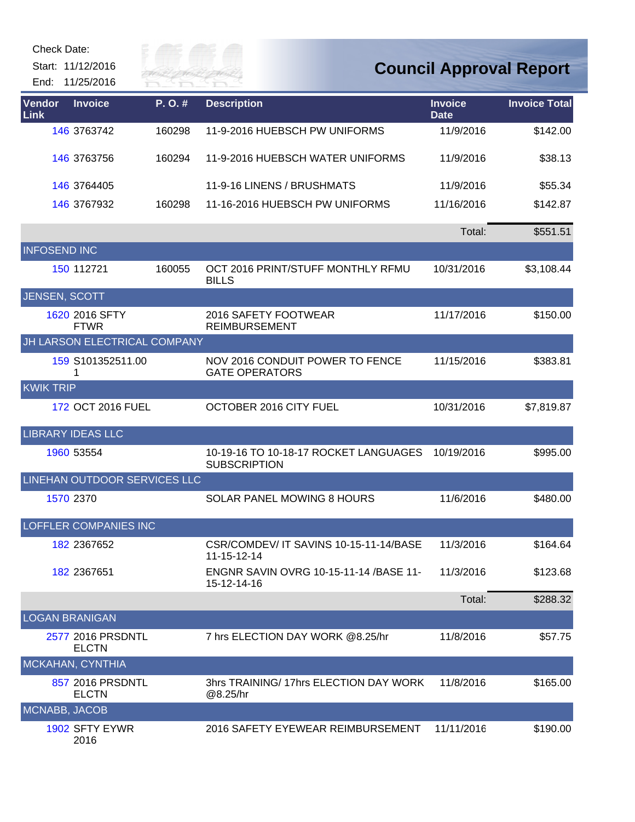| Check Date:         | Start: 11/12/2016<br>End: 11/25/2016 | ily of t<br>River Fai |                                                              |                               | <b>Council Approval Report</b> |
|---------------------|--------------------------------------|-----------------------|--------------------------------------------------------------|-------------------------------|--------------------------------|
| Vendor<br>Link      | <b>Invoice</b>                       | P.O.#                 | <b>Description</b>                                           | <b>Invoice</b><br><b>Date</b> | <b>Invoice Total</b>           |
|                     | 146 3763742                          | 160298                | 11-9-2016 HUEBSCH PW UNIFORMS                                | 11/9/2016                     | \$142.00                       |
|                     | 146 3763756                          | 160294                | 11-9-2016 HUEBSCH WATER UNIFORMS                             | 11/9/2016                     | \$38.13                        |
|                     | 146 3764405                          |                       | 11-9-16 LINENS / BRUSHMATS                                   | 11/9/2016                     | \$55.34                        |
|                     | 146 3767932                          | 160298                | 11-16-2016 HUEBSCH PW UNIFORMS                               | 11/16/2016                    | \$142.87                       |
|                     |                                      |                       |                                                              | Total:                        | \$551.51                       |
| <b>INFOSEND INC</b> |                                      |                       |                                                              |                               |                                |
|                     | 150 112721                           | 160055                | OCT 2016 PRINT/STUFF MONTHLY RFMU<br><b>BILLS</b>            | 10/31/2016                    | \$3,108.44                     |
|                     | <b>JENSEN, SCOTT</b>                 |                       |                                                              |                               |                                |
|                     | 1620 2016 SFTY<br><b>FTWR</b>        |                       | 2016 SAFETY FOOTWEAR<br><b>REIMBURSEMENT</b>                 | 11/17/2016                    | \$150.00                       |
|                     | JH LARSON ELECTRICAL COMPANY         |                       |                                                              |                               |                                |
|                     | 159 S101352511.00<br>1               |                       | NOV 2016 CONDUIT POWER TO FENCE<br><b>GATE OPERATORS</b>     | 11/15/2016                    | \$383.81                       |
| <b>KWIK TRIP</b>    |                                      |                       |                                                              |                               |                                |
|                     | 172 OCT 2016 FUEL                    |                       | OCTOBER 2016 CITY FUEL                                       | 10/31/2016                    | \$7,819.87                     |
|                     | <b>LIBRARY IDEAS LLC</b>             |                       |                                                              |                               |                                |
|                     | 1960 53554                           |                       | 10-19-16 TO 10-18-17 ROCKET LANGUAGES<br><b>SUBSCRIPTION</b> | 10/19/2016                    | \$995.00                       |
|                     | <b>LINEHAN OUTDOOR SERVICES LLC</b>  |                       |                                                              |                               |                                |
|                     | 1570 2370                            |                       | <b>SOLAR PANEL MOWING 8 HOURS</b>                            | 11/6/2016                     | \$480.00                       |
|                     | <b>LOFFLER COMPANIES INC</b>         |                       |                                                              |                               |                                |
|                     | 182 2367652                          |                       | CSR/COMDEV/ IT SAVINS 10-15-11-14/BASE<br>11-15-12-14        | 11/3/2016                     | \$164.64                       |
|                     | 182 2367651                          |                       | <b>ENGNR SAVIN OVRG 10-15-11-14 /BASE 11-</b><br>15-12-14-16 | 11/3/2016                     | \$123.68                       |
|                     |                                      |                       |                                                              | Total:                        | \$288.32                       |
|                     | <b>LOGAN BRANIGAN</b>                |                       |                                                              |                               |                                |
|                     | 2577 2016 PRSDNTL<br><b>ELCTN</b>    |                       | 7 hrs ELECTION DAY WORK @8.25/hr                             | 11/8/2016                     | \$57.75                        |
|                     | MCKAHAN, CYNTHIA                     |                       |                                                              |                               |                                |
|                     | 857 2016 PRSDNTL<br><b>ELCTN</b>     |                       | 3hrs TRAINING/17hrs ELECTION DAY WORK<br>@8.25/hr            | 11/8/2016                     | \$165.00                       |
|                     | MCNABB, JACOB                        |                       |                                                              |                               |                                |
|                     | 1902 SFTY EYWR<br>2016               |                       | 2016 SAFETY EYEWEAR REIMBURSEMENT                            | 11/11/2016                    | \$190.00                       |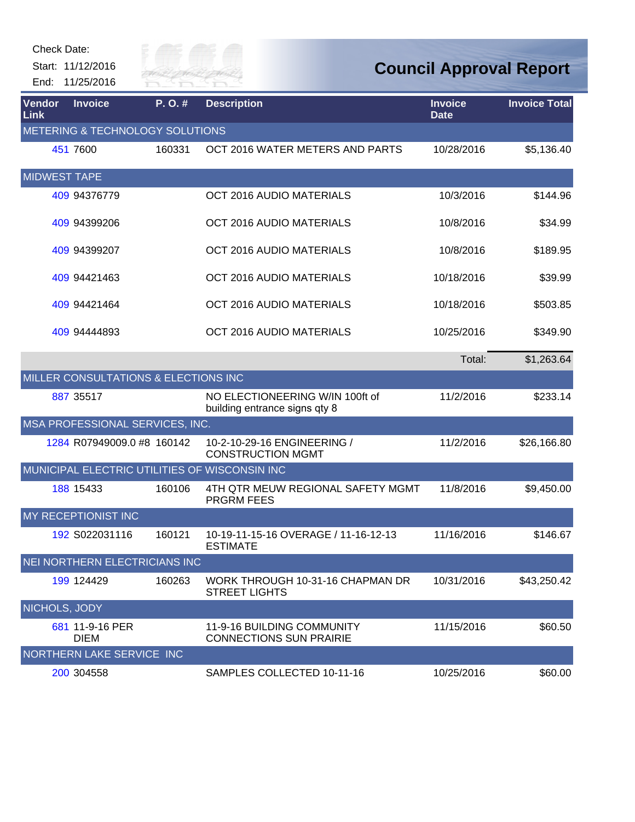| Check Date:         |                                                 |           |                                                                  |                                |                      |
|---------------------|-------------------------------------------------|-----------|------------------------------------------------------------------|--------------------------------|----------------------|
|                     | Start: 11/12/2016                               | City of   |                                                                  | <b>Council Approval Report</b> |                      |
| End:                | 11/25/2016                                      | KIVER FAI |                                                                  |                                |                      |
| Vendor<br>Link      | <b>Invoice</b>                                  | P.O.#     | <b>Description</b>                                               | <b>Invoice</b><br><b>Date</b>  | <b>Invoice Total</b> |
|                     | METERING & TECHNOLOGY SOLUTIONS                 |           |                                                                  |                                |                      |
|                     | 451 7600                                        | 160331    | OCT 2016 WATER METERS AND PARTS                                  | 10/28/2016                     | \$5,136.40           |
| <b>MIDWEST TAPE</b> |                                                 |           |                                                                  |                                |                      |
|                     | 409 94376779                                    |           | OCT 2016 AUDIO MATERIALS                                         | 10/3/2016                      | \$144.96             |
|                     | 409 94399206                                    |           | OCT 2016 AUDIO MATERIALS                                         | 10/8/2016                      | \$34.99              |
|                     | 409 94399207                                    |           | OCT 2016 AUDIO MATERIALS                                         | 10/8/2016                      | \$189.95             |
|                     | 409 94421463                                    |           | OCT 2016 AUDIO MATERIALS                                         | 10/18/2016                     | \$39.99              |
|                     | 409 94421464                                    |           | OCT 2016 AUDIO MATERIALS                                         | 10/18/2016                     | \$503.85             |
|                     | 409 94444893                                    |           | OCT 2016 AUDIO MATERIALS                                         | 10/25/2016                     | \$349.90             |
|                     |                                                 |           |                                                                  | Total:                         | \$1,263.64           |
|                     | <b>MILLER CONSULTATIONS &amp; ELECTIONS INC</b> |           |                                                                  |                                |                      |
|                     | 887 35517                                       |           | NO ELECTIONEERING W/IN 100ft of<br>building entrance signs qty 8 | 11/2/2016                      | \$233.14             |
|                     | MSA PROFESSIONAL SERVICES, INC.                 |           |                                                                  |                                |                      |
|                     | 1284 R07949009.0 #8 160142                      |           | 10-2-10-29-16 ENGINEERING /<br><b>CONSTRUCTION MGMT</b>          | 11/2/2016                      | \$26,166.80          |
|                     | MUNICIPAL ELECTRIC UTILITIES OF WISCONSIN INC   |           |                                                                  |                                |                      |
|                     | 188 15433                                       | 160106    | 4TH QTR MEUW REGIONAL SAFETY MGMT<br><b>PRGRM FEES</b>           | 11/8/2016                      | \$9,450.00           |
|                     | MY RECEPTIONIST INC                             |           |                                                                  |                                |                      |
|                     | 192 S022031116                                  | 160121    | 10-19-11-15-16 OVERAGE / 11-16-12-13<br><b>ESTIMATE</b>          | 11/16/2016                     | \$146.67             |
|                     | <b>NEI NORTHERN ELECTRICIANS INC</b>            |           |                                                                  |                                |                      |
|                     | 199 124429                                      | 160263    | WORK THROUGH 10-31-16 CHAPMAN DR<br><b>STREET LIGHTS</b>         | 10/31/2016                     | \$43,250.42          |
| NICHOLS, JODY       |                                                 |           |                                                                  |                                |                      |
|                     | 681 11-9-16 PER<br><b>DIEM</b>                  |           | 11-9-16 BUILDING COMMUNITY<br><b>CONNECTIONS SUN PRAIRIE</b>     | 11/15/2016                     | \$60.50              |
|                     | NORTHERN LAKE SERVICE INC                       |           |                                                                  |                                |                      |
|                     | 200 304558                                      |           | SAMPLES COLLECTED 10-11-16                                       | 10/25/2016                     | \$60.00              |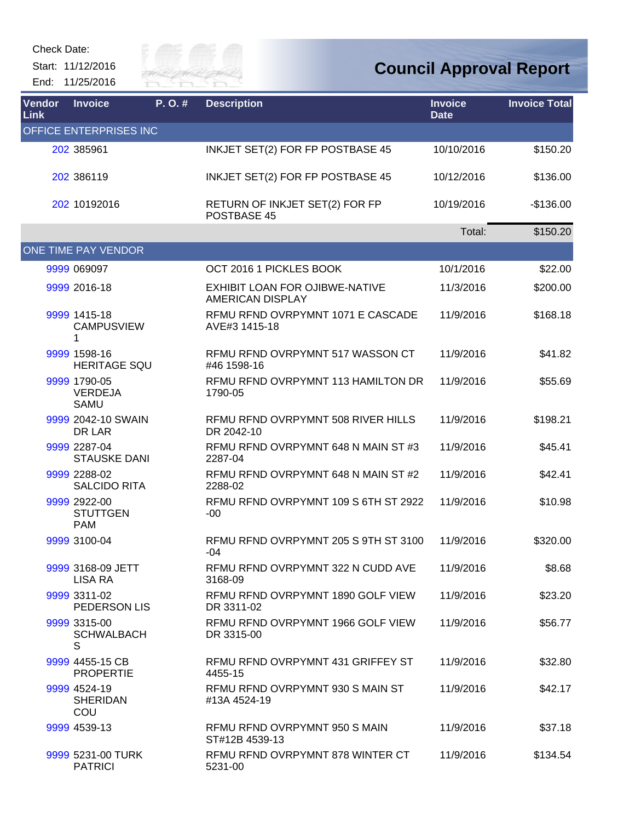Start: 11/12/2016 End: 11/25/2016



| Vendor<br><b>Link</b> | <b>Invoice</b>                                | P.O.# | <b>Description</b>                                               | <b>Invoice</b><br><b>Date</b> | <b>Invoice Total</b> |
|-----------------------|-----------------------------------------------|-------|------------------------------------------------------------------|-------------------------------|----------------------|
|                       | OFFICE ENTERPRISES INC                        |       |                                                                  |                               |                      |
|                       | 202 385961                                    |       | INKJET SET(2) FOR FP POSTBASE 45                                 | 10/10/2016                    | \$150.20             |
|                       | 202 386119                                    |       | INKJET SET(2) FOR FP POSTBASE 45                                 | 10/12/2016                    | \$136.00             |
|                       | 202 10192016                                  |       | RETURN OF INKJET SET(2) FOR FP<br>POSTBASE 45                    | 10/19/2016                    | $-$136.00$           |
|                       |                                               |       |                                                                  | Total:                        | \$150.20             |
|                       | ONE TIME PAY VENDOR                           |       |                                                                  |                               |                      |
|                       | 9999 069097                                   |       | OCT 2016 1 PICKLES BOOK                                          | 10/1/2016                     | \$22.00              |
|                       | 9999 2016-18                                  |       | <b>EXHIBIT LOAN FOR OJIBWE-NATIVE</b><br><b>AMERICAN DISPLAY</b> | 11/3/2016                     | \$200.00             |
|                       | 9999 1415-18<br><b>CAMPUSVIEW</b><br>1        |       | RFMU RFND OVRPYMNT 1071 E CASCADE<br>AVE#3 1415-18               | 11/9/2016                     | \$168.18             |
|                       | 9999 1598-16<br><b>HERITAGE SQU</b>           |       | RFMU RFND OVRPYMNT 517 WASSON CT<br>#46 1598-16                  | 11/9/2016                     | \$41.82              |
|                       | 9999 1790-05<br><b>VERDEJA</b><br>SAMU        |       | REMU REND OVRPYMNT 113 HAMILTON DR<br>1790-05                    | 11/9/2016                     | \$55.69              |
|                       | 9999 2042-10 SWAIN<br>DR LAR                  |       | RFMU RFND OVRPYMNT 508 RIVER HILLS<br>DR 2042-10                 | 11/9/2016                     | \$198.21             |
|                       | 9999 2287-04<br><b>STAUSKE DANI</b>           |       | RFMU RFND OVRPYMNT 648 N MAIN ST #3<br>2287-04                   | 11/9/2016                     | \$45.41              |
|                       | 9999 2288-02<br><b>SALCIDO RITA</b>           |       | RFMU RFND OVRPYMNT 648 N MAIN ST #2<br>2288-02                   | 11/9/2016                     | \$42.41              |
|                       | 9999 2922-00<br><b>STUTTGEN</b><br><b>PAM</b> |       | RFMU RFND OVRPYMNT 109 S 6TH ST 2922<br>-00                      | 11/9/2016                     | \$10.98              |
|                       | 9999 3100-04                                  |       | RFMU RFND OVRPYMNT 205 S 9TH ST 3100<br>-04                      | 11/9/2016                     | \$320.00             |
|                       | 9999 3168-09 JETT<br>LISA RA                  |       | RFMU RFND OVRPYMNT 322 N CUDD AVE<br>3168-09                     | 11/9/2016                     | \$8.68               |
|                       | 9999 3311-02<br>PEDERSON LIS                  |       | RFMU RFND OVRPYMNT 1890 GOLF VIEW<br>DR 3311-02                  | 11/9/2016                     | \$23.20              |
|                       | 9999 3315-00<br><b>SCHWALBACH</b><br>S        |       | RFMU RFND OVRPYMNT 1966 GOLF VIEW<br>DR 3315-00                  | 11/9/2016                     | \$56.77              |
|                       | 9999 4455-15 CB<br><b>PROPERTIE</b>           |       | REMU REND OVRPYMNT 431 GRIFFEY ST<br>4455-15                     | 11/9/2016                     | \$32.80              |
|                       | 9999 4524-19<br><b>SHERIDAN</b><br>COU        |       | RFMU RFND OVRPYMNT 930 S MAIN ST<br>#13A 4524-19                 | 11/9/2016                     | \$42.17              |
|                       | 9999 4539-13                                  |       | RFMU RFND OVRPYMNT 950 S MAIN<br>ST#12B 4539-13                  | 11/9/2016                     | \$37.18              |
|                       | 9999 5231-00 TURK<br><b>PATRICI</b>           |       | RFMU RFND OVRPYMNT 878 WINTER CT<br>5231-00                      | 11/9/2016                     | \$134.54             |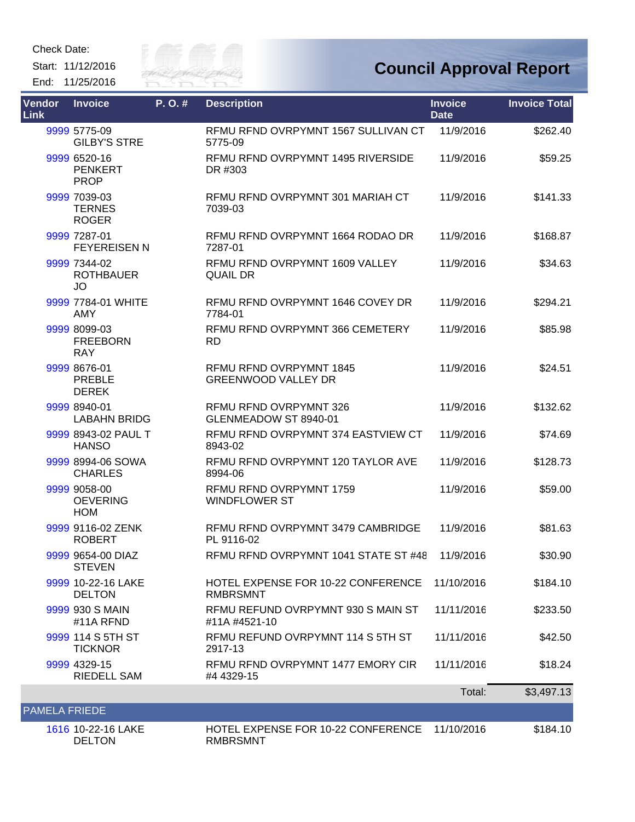Start: 11/12/2016 End: 11/25/2016



| <b>Vendor</b><br><b>Link</b> | <b>Invoice</b>                                | P.O.# | <b>Description</b>                                    | <b>Invoice</b><br><b>Date</b> | <b>Invoice Total</b> |
|------------------------------|-----------------------------------------------|-------|-------------------------------------------------------|-------------------------------|----------------------|
|                              | 9999 5775-09<br><b>GILBY'S STRE</b>           |       | RFMU RFND OVRPYMNT 1567 SULLIVAN CT<br>5775-09        | 11/9/2016                     | \$262.40             |
|                              | 9999 6520-16<br><b>PENKERT</b><br><b>PROP</b> |       | RFMU RFND OVRPYMNT 1495 RIVERSIDE<br>DR #303          | 11/9/2016                     | \$59.25              |
|                              | 9999 7039-03<br><b>TERNES</b><br><b>ROGER</b> |       | REMU REND OVRPYMNT 301 MARIAH CT<br>7039-03           | 11/9/2016                     | \$141.33             |
|                              | 9999 7287-01<br><b>FEYEREISEN N</b>           |       | RFMU RFND OVRPYMNT 1664 RODAO DR<br>7287-01           | 11/9/2016                     | \$168.87             |
|                              | 9999 7344-02<br><b>ROTHBAUER</b><br><b>JO</b> |       | RFMU RFND OVRPYMNT 1609 VALLEY<br><b>QUAIL DR</b>     | 11/9/2016                     | \$34.63              |
|                              | 9999 7784-01 WHITE<br>AMY                     |       | RFMU RFND OVRPYMNT 1646 COVEY DR<br>7784-01           | 11/9/2016                     | \$294.21             |
|                              | 9999 8099-03<br><b>FREEBORN</b><br><b>RAY</b> |       | RFMU RFND OVRPYMNT 366 CEMETERY<br><b>RD</b>          | 11/9/2016                     | \$85.98              |
|                              | 9999 8676-01<br><b>PREBLE</b><br><b>DEREK</b> |       | RFMU RFND OVRPYMNT 1845<br><b>GREENWOOD VALLEY DR</b> | 11/9/2016                     | \$24.51              |
|                              | 9999 8940-01<br><b>LABAHN BRIDG</b>           |       | RFMU RFND OVRPYMNT 326<br>GLENMEADOW ST 8940-01       | 11/9/2016                     | \$132.62             |
|                              | 9999 8943-02 PAUL T<br><b>HANSO</b>           |       | RFMU RFND OVRPYMNT 374 EASTVIEW CT<br>8943-02         | 11/9/2016                     | \$74.69              |
|                              | 9999 8994-06 SOWA<br><b>CHARLES</b>           |       | RFMU RFND OVRPYMNT 120 TAYLOR AVE<br>8994-06          | 11/9/2016                     | \$128.73             |
|                              | 9999 9058-00<br><b>OEVERING</b><br><b>HOM</b> |       | RFMU RFND OVRPYMNT 1759<br><b>WINDFLOWER ST</b>       | 11/9/2016                     | \$59.00              |
|                              | 9999 9116-02 ZENK<br><b>ROBERT</b>            |       | RFMU RFND OVRPYMNT 3479 CAMBRIDGE<br>PL 9116-02       | 11/9/2016                     | \$81.63              |
|                              | 9999 9654-00 DIAZ<br><b>STEVEN</b>            |       | RFMU RFND OVRPYMNT 1041 STATE ST #48                  | 11/9/2016                     | \$30.90              |
|                              | 9999 10-22-16 LAKE<br><b>DELTON</b>           |       | HOTEL EXPENSE FOR 10-22 CONFERENCE<br><b>RMBRSMNT</b> | 11/10/2016                    | \$184.10             |
|                              | 9999 930 S MAIN<br>#11A RFND                  |       | RFMU REFUND OVRPYMNT 930 S MAIN ST<br>#11A #4521-10   | 11/11/2016                    | \$233.50             |
|                              | 9999 114 S 5TH ST<br><b>TICKNOR</b>           |       | RFMU REFUND OVRPYMNT 114 S 5TH ST<br>2917-13          | 11/11/2016                    | \$42.50              |
|                              | 9999 4329-15<br><b>RIEDELL SAM</b>            |       | RFMU RFND OVRPYMNT 1477 EMORY CIR<br>#4 4329-15       | 11/11/2016                    | \$18.24              |
|                              |                                               |       |                                                       | Total:                        | \$3,497.13           |
| <b>PAMELA FRIEDE</b>         |                                               |       |                                                       |                               |                      |
|                              | 1616 10-22-16 LAKE<br><b>DELTON</b>           |       | HOTEL EXPENSE FOR 10-22 CONFERENCE<br><b>RMBRSMNT</b> | 11/10/2016                    | \$184.10             |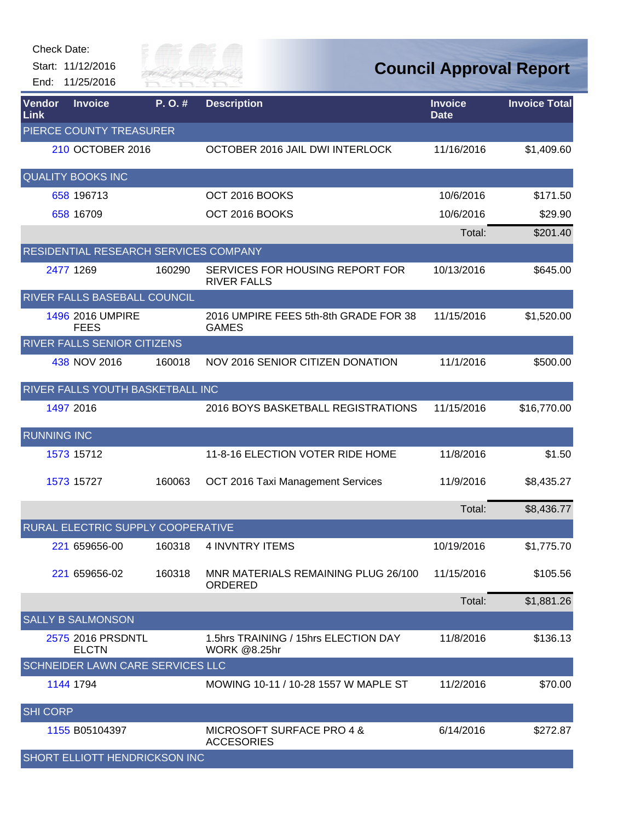Start: 11/12/2016 End: 11/25/2016



| <b>Vendor</b><br>Link | <b>Invoice</b>                        | P.O.#  | <b>Description</b>                                          | <b>Invoice</b><br><b>Date</b> | <b>Invoice Total</b> |
|-----------------------|---------------------------------------|--------|-------------------------------------------------------------|-------------------------------|----------------------|
|                       | PIERCE COUNTY TREASURER               |        |                                                             |                               |                      |
|                       | 210 OCTOBER 2016                      |        | OCTOBER 2016 JAIL DWI INTERLOCK                             | 11/16/2016                    | \$1,409.60           |
|                       | <b>QUALITY BOOKS INC</b>              |        |                                                             |                               |                      |
|                       | 658 196713                            |        | OCT 2016 BOOKS                                              | 10/6/2016                     | \$171.50             |
|                       | 658 16709                             |        | OCT 2016 BOOKS                                              | 10/6/2016                     | \$29.90              |
|                       |                                       |        |                                                             | Total:                        | \$201.40             |
|                       | RESIDENTIAL RESEARCH SERVICES COMPANY |        |                                                             |                               |                      |
|                       | 2477 1269                             | 160290 | SERVICES FOR HOUSING REPORT FOR<br><b>RIVER FALLS</b>       | 10/13/2016                    | \$645.00             |
|                       | RIVER FALLS BASEBALL COUNCIL          |        |                                                             |                               |                      |
|                       | 1496 2016 UMPIRE<br><b>FEES</b>       |        | 2016 UMPIRE FEES 5th-8th GRADE FOR 38<br><b>GAMES</b>       | 11/15/2016                    | \$1,520.00           |
|                       | <b>RIVER FALLS SENIOR CITIZENS</b>    |        |                                                             |                               |                      |
|                       | 438 NOV 2016                          | 160018 | NOV 2016 SENIOR CITIZEN DONATION                            | 11/1/2016                     | \$500.00             |
|                       | RIVER FALLS YOUTH BASKETBALL INC      |        |                                                             |                               |                      |
|                       | 1497 2016                             |        | 2016 BOYS BASKETBALL REGISTRATIONS                          | 11/15/2016                    | \$16,770.00          |
| <b>RUNNING INC</b>    |                                       |        |                                                             |                               |                      |
|                       | 1573 15712                            |        | 11-8-16 ELECTION VOTER RIDE HOME                            | 11/8/2016                     | \$1.50               |
|                       | 1573 15727                            | 160063 | OCT 2016 Taxi Management Services                           | 11/9/2016                     | \$8,435.27           |
|                       |                                       |        |                                                             | Total:                        | \$8,436.77           |
|                       | RURAL ELECTRIC SUPPLY COOPERATIVE     |        |                                                             |                               |                      |
|                       | 221 659656-00                         | 160318 | <b>4 INVNTRY ITEMS</b>                                      | 10/19/2016                    | \$1,775.70           |
|                       | 221 659656-02                         | 160318 | MNR MATERIALS REMAINING PLUG 26/100<br>ORDERED              | 11/15/2016                    | \$105.56             |
|                       |                                       |        |                                                             | Total:                        | \$1,881.26           |
|                       | <b>SALLY B SALMONSON</b>              |        |                                                             |                               |                      |
|                       | 2575 2016 PRSDNTL<br><b>ELCTN</b>     |        | 1.5hrs TRAINING / 15hrs ELECTION DAY<br><b>WORK @8.25hr</b> | 11/8/2016                     | \$136.13             |
|                       | SCHNEIDER LAWN CARE SERVICES LLC      |        |                                                             |                               |                      |
|                       | 1144 1794                             |        | MOWING 10-11 / 10-28 1557 W MAPLE ST                        | 11/2/2016                     | \$70.00              |
| <b>SHI CORP</b>       |                                       |        |                                                             |                               |                      |
|                       | 1155 B05104397                        |        | MICROSOFT SURFACE PRO 4 &<br><b>ACCESORIES</b>              | 6/14/2016                     | \$272.87             |
|                       | SHORT ELLIOTT HENDRICKSON INC         |        |                                                             |                               |                      |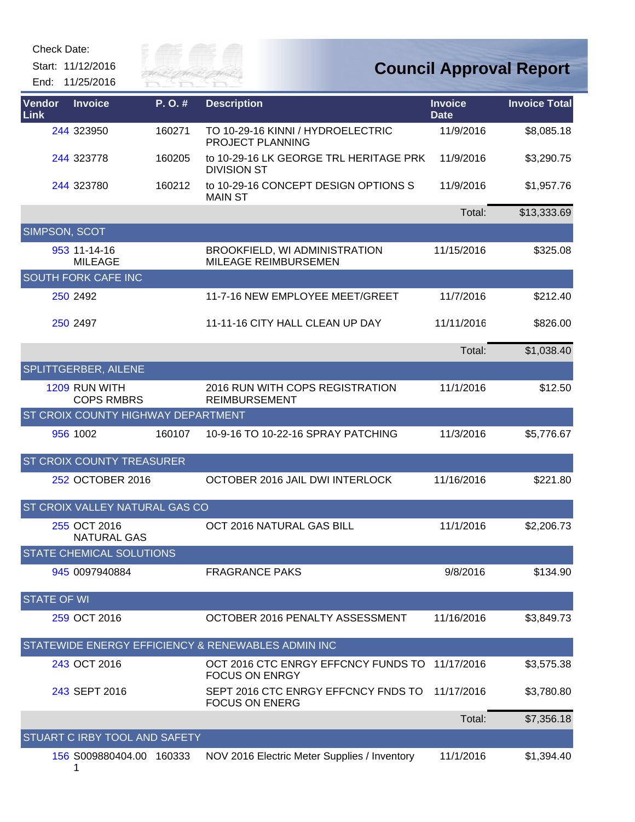Start: 11/12/2016

End: 11/25/2016



| <b>Vendor</b><br>Link | <b>Invoice</b>                     | P.O.#  | <b>Description</b>                                           | <b>Invoice</b><br><b>Date</b> | <b>Invoice Total</b> |
|-----------------------|------------------------------------|--------|--------------------------------------------------------------|-------------------------------|----------------------|
|                       | 244 323950                         | 160271 | TO 10-29-16 KINNI / HYDROELECTRIC<br>PROJECT PLANNING        | 11/9/2016                     | \$8,085.18           |
|                       | 244 323778                         | 160205 | to 10-29-16 LK GEORGE TRL HERITAGE PRK<br><b>DIVISION ST</b> | 11/9/2016                     | \$3,290.75           |
|                       | 244 323780                         | 160212 | to 10-29-16 CONCEPT DESIGN OPTIONS S<br><b>MAIN ST</b>       | 11/9/2016                     | \$1,957.76           |
|                       |                                    |        |                                                              | Total:                        | \$13,333.69          |
| SIMPSON, SCOT         |                                    |        |                                                              |                               |                      |
|                       | 953 11-14-16<br><b>MILEAGE</b>     |        | BROOKFIELD, WI ADMINISTRATION<br>MILEAGE REIMBURSEMEN        | 11/15/2016                    | \$325.08             |
|                       | <b>SOUTH FORK CAFE INC</b>         |        |                                                              |                               |                      |
|                       | 250 2492                           |        | 11-7-16 NEW EMPLOYEE MEET/GREET                              | 11/7/2016                     | \$212.40             |
|                       | 250 2497                           |        | 11-11-16 CITY HALL CLEAN UP DAY                              | 11/11/2016                    | \$826.00             |
|                       |                                    |        |                                                              | Total:                        | \$1,038.40           |
|                       | SPLITTGERBER, AILENE               |        |                                                              |                               |                      |
|                       | 1209 RUN WITH<br><b>COPS RMBRS</b> |        | 2016 RUN WITH COPS REGISTRATION<br><b>REIMBURSEMENT</b>      | 11/1/2016                     | \$12.50              |
|                       | ST CROIX COUNTY HIGHWAY DEPARTMENT |        |                                                              |                               |                      |
|                       | 956 1002                           | 160107 | 10-9-16 TO 10-22-16 SPRAY PATCHING                           | 11/3/2016                     | \$5,776.67           |
|                       | ST CROIX COUNTY TREASURER          |        |                                                              |                               |                      |
|                       | 252 OCTOBER 2016                   |        | OCTOBER 2016 JAIL DWI INTERLOCK                              | 11/16/2016                    | \$221.80             |
|                       | ST CROIX VALLEY NATURAL GAS CO     |        |                                                              |                               |                      |
|                       | 255 OCT 2016<br><b>NATURAL GAS</b> |        | OCT 2016 NATURAL GAS BILL                                    | 11/1/2016                     | \$2,206.73           |
|                       | <b>STATE CHEMICAL SOLUTIONS</b>    |        |                                                              |                               |                      |
|                       | 945 0097940884                     |        | <b>FRAGRANCE PAKS</b>                                        | 9/8/2016                      | \$134.90             |
| <b>STATE OF WI</b>    |                                    |        |                                                              |                               |                      |
|                       | 259 OCT 2016                       |        | OCTOBER 2016 PENALTY ASSESSMENT                              | 11/16/2016                    | \$3,849.73           |
|                       |                                    |        | STATEWIDE ENERGY EFFICIENCY & RENEWABLES ADMIN INC           |                               |                      |
|                       | 243 OCT 2016                       |        | OCT 2016 CTC ENRGY EFFCNCY FUNDS TO<br><b>FOCUS ON ENRGY</b> | 11/17/2016                    | \$3,575.38           |
|                       | 243 SEPT 2016                      |        | SEPT 2016 CTC ENRGY EFFCNCY FNDS TO<br><b>FOCUS ON ENERG</b> | 11/17/2016                    | \$3,780.80           |
|                       |                                    |        |                                                              | Total:                        | \$7,356.18           |
|                       | STUART C IRBY TOOL AND SAFETY      |        |                                                              |                               |                      |
|                       | 156 S009880404.00 160333           |        | NOV 2016 Electric Meter Supplies / Inventory                 | 11/1/2016                     | \$1,394.40           |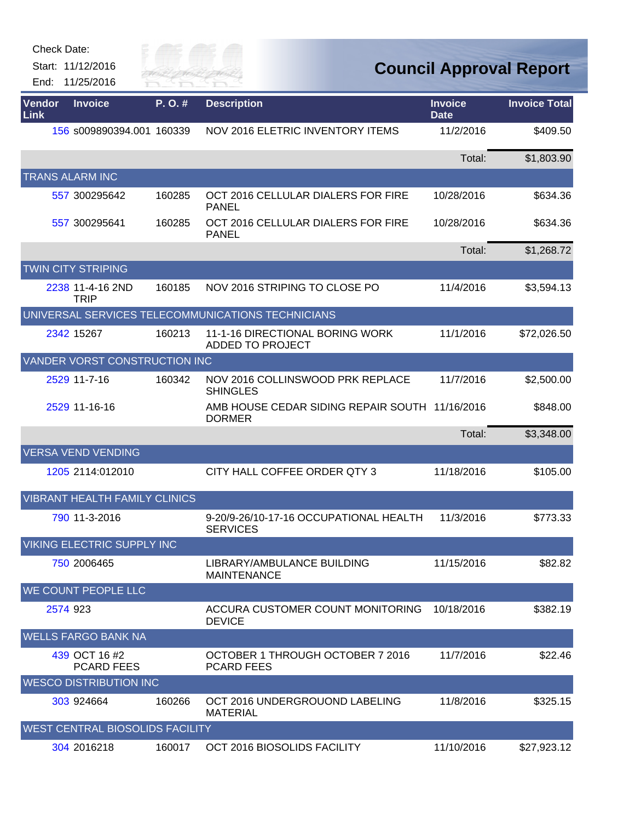Start: 11/12/2016 End: 11/25/2016



| Vendor<br>Link |          | <b>Invoice</b>                       | P.O.#  | <b>Description</b>                                              | <b>Invoice</b><br><b>Date</b> | <b>Invoice Total</b> |
|----------------|----------|--------------------------------------|--------|-----------------------------------------------------------------|-------------------------------|----------------------|
|                |          | 156 s009890394.001 160339            |        | <b>NOV 2016 ELETRIC INVENTORY ITEMS</b>                         | 11/2/2016                     | \$409.50             |
|                |          |                                      |        |                                                                 | Total:                        | \$1,803.90           |
|                |          | <b>TRANS ALARM INC</b>               |        |                                                                 |                               |                      |
|                |          | 557 300295642                        | 160285 | OCT 2016 CELLULAR DIALERS FOR FIRE<br><b>PANEL</b>              | 10/28/2016                    | \$634.36             |
|                |          | 557 300295641                        | 160285 | OCT 2016 CELLULAR DIALERS FOR FIRE<br><b>PANEL</b>              | 10/28/2016                    | \$634.36             |
|                |          |                                      |        |                                                                 | Total:                        | \$1,268.72           |
|                |          | <b>TWIN CITY STRIPING</b>            |        |                                                                 |                               |                      |
|                |          | 2238 11-4-16 2ND<br><b>TRIP</b>      | 160185 | NOV 2016 STRIPING TO CLOSE PO                                   | 11/4/2016                     | \$3,594.13           |
|                |          |                                      |        | UNIVERSAL SERVICES TELECOMMUNICATIONS TECHNICIANS               |                               |                      |
|                |          | 2342 15267                           | 160213 | 11-1-16 DIRECTIONAL BORING WORK<br><b>ADDED TO PROJECT</b>      | 11/1/2016                     | \$72,026.50          |
|                |          | VANDER VORST CONSTRUCTION INC        |        |                                                                 |                               |                      |
|                |          | 2529 11-7-16                         | 160342 | NOV 2016 COLLINSWOOD PRK REPLACE<br><b>SHINGLES</b>             | 11/7/2016                     | \$2,500.00           |
|                |          | 2529 11-16-16                        |        | AMB HOUSE CEDAR SIDING REPAIR SOUTH 11/16/2016<br><b>DORMER</b> |                               | \$848.00             |
|                |          |                                      |        |                                                                 | Total:                        | \$3,348.00           |
|                |          | <b>VERSA VEND VENDING</b>            |        |                                                                 |                               |                      |
|                |          | 1205 2114:012010                     |        | CITY HALL COFFEE ORDER QTY 3                                    | 11/18/2016                    | \$105.00             |
|                |          | <b>VIBRANT HEALTH FAMILY CLINICS</b> |        |                                                                 |                               |                      |
|                |          | 790 11-3-2016                        |        | 9-20/9-26/10-17-16 OCCUPATIONAL HEALTH<br><b>SERVICES</b>       | 11/3/2016                     | \$773.33             |
|                |          | <b>VIKING ELECTRIC SUPPLY INC</b>    |        |                                                                 |                               |                      |
|                |          | 750 2006465                          |        | LIBRARY/AMBULANCE BUILDING<br><b>MAINTENANCE</b>                | 11/15/2016                    | \$82.82              |
|                |          | <b>WE COUNT PEOPLE LLC</b>           |        |                                                                 |                               |                      |
|                | 2574 923 |                                      |        | ACCURA CUSTOMER COUNT MONITORING<br><b>DEVICE</b>               | 10/18/2016                    | \$382.19             |
|                |          | <b>WELLS FARGO BANK NA</b>           |        |                                                                 |                               |                      |
|                |          | 439 OCT 16 #2<br><b>PCARD FEES</b>   |        | OCTOBER 1 THROUGH OCTOBER 7 2016<br><b>PCARD FEES</b>           | 11/7/2016                     | \$22.46              |
|                |          | <b>WESCO DISTRIBUTION INC</b>        |        |                                                                 |                               |                      |
|                |          | 303 924664                           | 160266 | OCT 2016 UNDERGROUOND LABELING<br><b>MATERIAL</b>               | 11/8/2016                     | \$325.15             |
|                |          | WEST CENTRAL BIOSOLIDS FACILITY      |        |                                                                 |                               |                      |
|                |          | 304 2016218                          | 160017 | OCT 2016 BIOSOLIDS FACILITY                                     | 11/10/2016                    | \$27,923.12          |